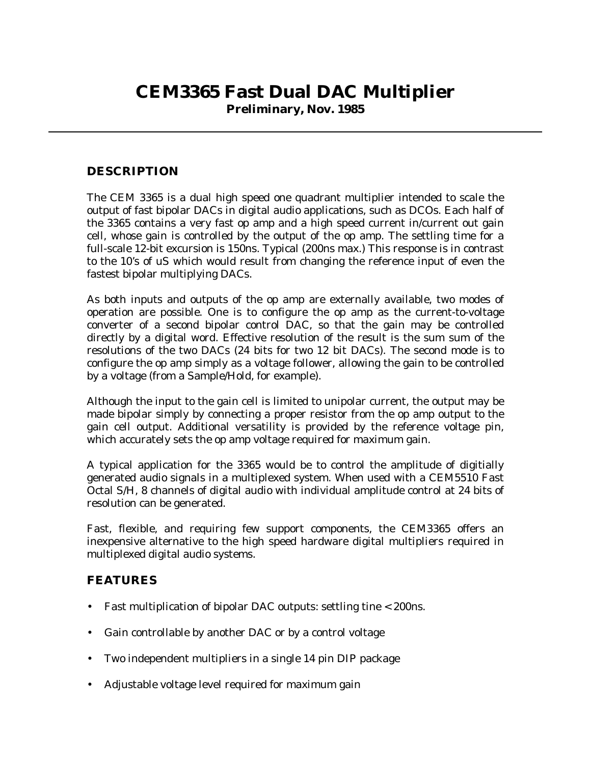## **CEM3365 Fast Dual DAC Multiplier**

**Preliminary, Nov. 1985**

## **DESCRIPTION**

The CEM 3365 is a dual high speed one quadrant multiplier intended to scale the output of fast bipolar DACs in digital audio applications, such as DCOs. Each half of the 3365 contains a very fast op amp and a high speed current in/current out gain cell, whose gain is controlled by the output of the op amp. The settling time for a full-scale 12-bit excursion is 150ns. Typical (200ns max.) This response is in contrast to the 10's of uS which would result from changing the reference input of even the fastest bipolar multiplying DACs.

As both inputs and outputs of the op amp are externally available, two modes of operation are possible. One is to configure the op amp as the current-to-voltage converter of a second bipolar control DAC, so that the gain may be controlled directly by a digital word. Effective resolution of the result is the sum sum of the resolutions of the two DACs (24 bits for two 12 bit DACs). The second mode is to configure the op amp simply as a voltage follower, allowing the gain to be controlled by a voltage (from a Sample/Hold, for example).

Although the input to the gain cell is limited to unipolar current, the output may be made bipolar simply by connecting a proper resistor from the op amp output to the gain cell output. Additional versatility is provided by the reference voltage pin, which accurately sets the op amp voltage required for maximum gain.

A typical application for the 3365 would be to control the amplitude of digitially generated audio signals in a multiplexed system. When used with a CEM5510 Fast Octal S/H, 8 channels of digital audio with individual amplitude control at 24 bits of resolution can be generated.

Fast, flexible, and requiring few support components, the CEM3365 offers an inexpensive alternative to the high speed hardware digital multipliers required in multiplexed digital audio systems.

## **FEATURES**

- Fast multiplication of bipolar DAC outputs: settling tine < 200ns.
- Gain controllable by another DAC or by a control voltage
- Two independent multipliers in a single 14 pin DIP package
- Adjustable voltage level required for maximum gain